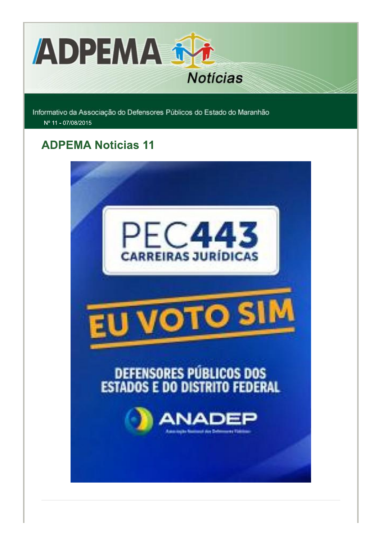

Informativo da Associação do Defensores Públicos do Estado do Maranhão Nº 11 - 07/08/2015

### **ADPEMA Noticias 11**

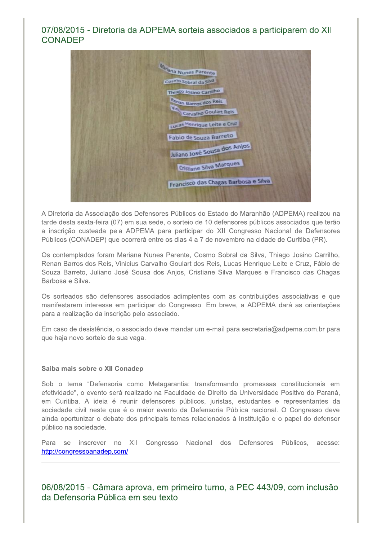#### 07/08/2015 - Diretoria da ADPEMA sorteia associados a participarem do XII CONADEP

Ina Nunes Parente Cosmo Sobral da Silva Lucas Henrique Leite e Cruz Fabio de Souza Barreto Juliano José Sousa dos Anjos Cristiane Silva Marques Francisco das Chagas Barbosa e Silva

A Diretoria da Associação dos Defensores Públicos do Estado do Maranhão (ADPEMA) realizou na tarde desta sexta-feira (07) em sua sede, o sorteio de 10 defensores públicos associados que terão a inscrição custeada pela ADPEMA para participar do XII Congresso Nacional de Defensores Públicos (CONADEP) que ocorrerá entre os dias 4 a 7 de novembro na cidade de Curitiba (PR).

Os contemplados foram Mariana Nunes Parente, Cosmo Sobral da Silva, Thiago Josino Carrilho, Renan Barros dos Reis, Vinicius Carvalho Goulart dos Reis, Lucas Henrique Leite e Cruz, Fábio de Souza Barreto, Juliano José Sousa dos Anjos, Cristiane Silva Margues e Francisco das Chagas Barbosa e Silva.

Os sorteados são defensores associados adimplentes com as contribuições associativas e que manifestarem interesse em participar do Congresso. Em breve, a ADPEMA dará as orientações para a realização da inscrição pelo associado.

Em caso de desistência, o associado deve mandar um e-mail para secretaria@adpema.com.br para que haja novo sorteio de sua vaga.

#### Saiba mais sobre o XII Conadep

Sob o tema "Defensoria como Metagarantia: transformando promessas constitucionais em efetividade", o evento será realizado na Faculdade de Direito da Universidade Positivo do Paraná, em Curitiba. A ideia é reunir defensores públicos, juristas, estudantes e representantes da sociedade civil neste que é o maior evento da Defensoria Pública nacional. O Congresso deve ainda oportunizar o debate dos principais temas relacionados à Instituição e o papel do defensor público na sociedade.

Para se inscrever no XII Congresso Nacional dos Defensores Públicos, acesse: http://congressoanadep.com/

06/08/2015 - Câmara aprova, em primeiro turno, a PEC 443/09, com inclusão da Defensoria Pública em seu texto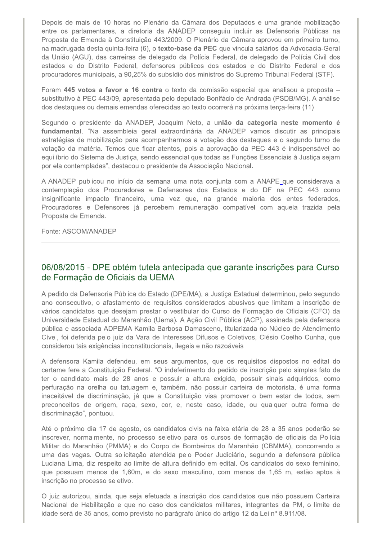Depois de mais de 10 horas no Plenário da Câmara dos Deputados e uma grande mobilização entre os parlamentares, a diretoria da ANADEP conseguiu incluir as Defensoria Públicas na Proposta de Emenda à Constituição 443/2009. O Plenário da Câmara aprovou em primeiro turno, na madrugada desta quinta-feira (6), o texto-base da PEC que vincula salários da Advocacia-Geral da União (AGU), das carreiras de delegado da Polícia Federal, de delegado de Polícia Civil dos estados e do Distrito Federal, defensores públicos dos estados e do Distrito Federal e dos procuradores municipais, a 90,25% do subsídio dos ministros do Supremo Tribunal Federal (STF).

Foram 445 votos a favor e 16 contra o texto da comissão especial que analisou a proposta substitutivo à PEC 443/09, apresentada pelo deputado Bonifácio de Andrada (PSDB/MG). A análise dos destaques ou demais emendas oferecidas ao texto ocorrerá na próxima terça-feira (11).

Segundo o presidente da ANADEP, Joaquim Neto, a união da categoria neste momento é fundamental. "Na assembleia geral extraordinária da ANADEP vamos discutir as principais estratégias de mobilização para acompanharmos a votação dos destaques e o segundo turno de votação da matéria. Temos que ficar atentos, pois a aprovação da PEC 443 é indispensável ao equilíbrio do Sistema de Justiça, sendo essencial que todas as Funções Essenciais à Justiça sejam por ela contempladas", destacou o presidente da Associação Nacional.

A ANADEP publicou no início da semana uma nota conjunta com a ANAPE que considerava a contemplação dos Procuradores e Defensores dos Estados e do DF na PEC 443 como insignificante impacto financeiro, uma vez que, na grande maioria dos entes federados, Procuradores e Defensores já percebem remuneração compatível com aquela trazida pela Proposta de Emenda.

Fonte: ASCOM/ANADEP

#### 06/08/2015 - DPE obtém tutela antecipada que garante inscrições para Curso de Formação de Oficiais da UEMA

A pedido da Defensoria Pública do Estado (DPE/MA), a Justica Estadual determinou, pelo segundo ano consecutivo, o afastamento de requisitos considerados abusivos que limitam a inscrição de vários candidatos que desejam prestar o vestibular do Curso de Formação de Oficiais (CFO) da Universidade Estadual do Maranhão (Uema). A Ação Civil Pública (ACP), assinada pela defensora pública e associada ADPEMA Kamila Barbosa Damasceno, titularizada no Núcleo de Atendimento Cível, foi deferida pelo juiz da Vara de Interesses Difusos e Coletivos, Clésio Coelho Cunha, que considerou tais exigências inconstitucionais, ilegais e não razoáveis.

A defensora Kamila defendeu, em seus argumentos, que os requisitos dispostos no edital do certame fere a Constituição Federal. "O indeferimento do pedido de inscrição pelo simples fato de ter o candidato mais de 28 anos e possuir a altura exigida, possuir sinais adquiridos, como perfuração na orelha ou tatuagem e, também, não possuir carteira de motorista, é uma forma inaceitável de discriminação, já que a Constituição visa promover o bem estar de todos, sem preconceitos de origem, raça, sexo, cor, e, neste caso, idade, ou qualquer outra forma de discriminação", pontuou.

Até o próximo dia 17 de agosto, os candidatos civis na faixa etária de 28 a 35 anos poderão se inscrever, normalmente, no processo seletivo para os cursos de formação de oficiais da Polícia Militar do Maranhão (PMMA) e do Corpo de Bombeiros do Maranhão (CBMMA), concorrendo a uma das vagas. Outra solicitação atendida pelo Poder Judiciário, segundo a defensora pública Luciana Lima, diz respeito ao limite de altura definido em edital. Os candidatos do sexo feminino, que possuam menos de 1,60m, e do sexo masculino, com menos de 1,65 m, estão aptos à inscrição no processo seletivo.

O juiz autorizou, ainda, que seja efetuada a inscrição dos candidatos que não possuem Carteira Nacional de Habilitação e que no caso dos candidatos militares, integrantes da PM, o limite de idade será de 35 anos, como previsto no parágrafo único do artigo 12 da Lei nº 8.911/08.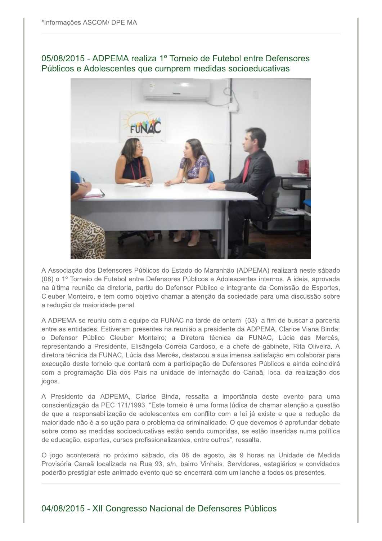#### 05/08/2015 - ADPEMA realiza 1º Torneio de Futebol entre Defensores Públicos e Adolescentes que cumprem medidas socioeducativas



A Associação dos Defensores Públicos do Estado do Maranhão (ADPEMA) realizará neste sábado (08) o 1º Torneio de Futebol entre Defensores Públicos e Adolescentes internos. A ideia, aprovada na última reunião da diretoria, partiu do Defensor Público e integrante da Comissão de Esportes, Cleuber Monteiro, e tem como objetivo chamar a atenção da sociedade para uma discussão sobre a redução da maioridade penal.

A ADPEMA se reuniu com a equipe da FUNAC na tarde de ontem (03) a fim de buscar a parceria entre as entidades. Estiveram presentes na reunião a presidente da ADPEMA, Clarice Viana Binda; o Defensor Público Cleuber Monteiro; a Diretora técnica da FUNAC, Lúcia das Mercês, representando a Presidente, Elisângela Correia Cardoso, e a chefe de gabinete, Rita Oliveira. A diretora técnica da FUNAC, Lúcia das Mercês, destacou a sua imensa satisfação em colaborar para execução deste torneio que contará com a participação de Defensores Públicos e ainda coincidirá com a programação Dia dos Pais na unidade de internação do Canaã, local da realização dos jogos.

A Presidente da ADPEMA, Clarice Binda, ressalta a importância deste evento para uma conscientização da PEC 171/1993. "Este torneio é uma forma lúdica de chamar atenção a questão de que a responsabilização de adolescentes em conflito com a lei já existe e que a redução da maioridade não é a solução para o problema da criminalidade. O que devemos é aprofundar debate sobre como as medidas socioeducativas estão sendo cumpridas, se estão inseridas numa política de educação, esportes, cursos profissionalizantes, entre outros", ressalta.

O jogo acontecerá no próximo sábado, dia 08 de agosto, às 9 horas na Unidade de Medida Provisória Canaã localizada na Rua 93, s/n, bairro Vinhais. Servidores, estagiários e convidados poderão prestigiar este animado evento que se encerrará com um lanche a todos os presentes.

#### 04/08/2015 - XII Congresso Nacional de Defensores Públicos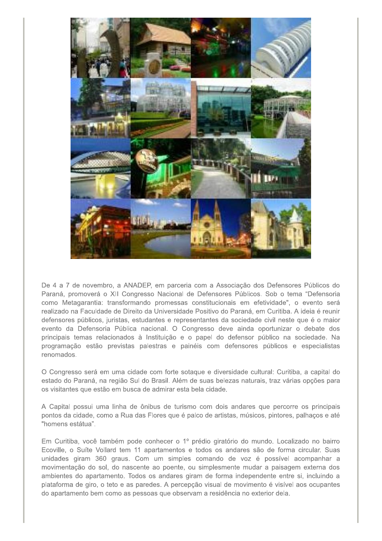

De 4 a 7 de novembro, a ANADEP, em parceria com a Associação dos Defensores Públicos do Paraná, promoverá o XII Congresso Nacional de Defensores Públicos. Sob o tema "Defensoria como Metagarantia: transformando promessas constitucionais em efetividade", o evento será realizado na Faculdade de Direito da Universidade Positivo do Paraná, em Curitiba. A ideia é reunir defensores públicos, juristas, estudantes e representantes da sociedade civil neste que é o maior evento da Defensoria Pública nacional. O Congresso deve ainda oportunizar o debate dos principais temas relacionados à Instituição e o papel do defensor público na sociedade. Na programação estão previstas palestras e painéis com defensores públicos e especialistas renomados.

O Congresso será em uma cidade com forte sotaque e diversidade cultural: Curitiba, a capital do estado do Paraná, na região Sul do Brasil. Além de suas belezas naturais, traz várias opções para os visitantes que estão em busca de admirar esta bela cidade.

A Capital possui uma linha de ônibus de turismo com dois andares que percorre os principais pontos da cidade, como a Rua das Flores que é palco de artistas, músicos, pintores, palhaços e até "homens estátua".

Em Curitiba, você também pode conhecer o 1º prédio giratório do mundo. Localizado no bairro Ecoville, o Suíte Vollard tem 11 apartamentos e todos os andares são de forma circular. Suas unidades giram 360 graus. Com um simples comando de voz é possível acompanhar a movimentação do sol, do nascente ao poente, ou simplesmente mudar a paisagem externa dos ambientes do apartamento. Todos os andares giram de forma independente entre si, incluindo a plataforma de giro, o teto e as paredes. A percepção visual de movimento é visível aos ocupantes do apartamento bem como as pessoas que observam a residência no exterior dela.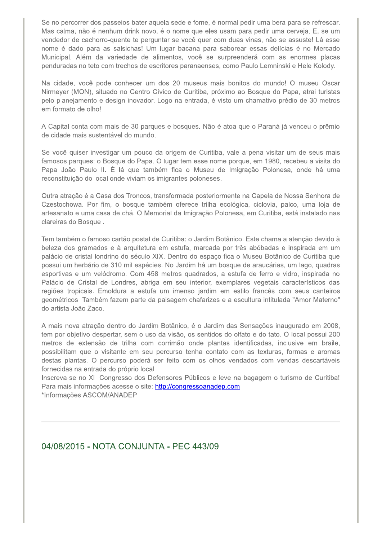Se no percorrer dos passeios bater aquela sede e fome, é normal pedir uma bera para se refrescar. Mas calma, não é nenhum drink novo, é o nome que eles usam para pedir uma cerveja. E, se um vendedor de cachorro-quente te perguntar se você quer com duas vinas, não se assuste! Lá esse nome é dado para as salsichas! Um lugar bacana para saborear essas delícias é no Mercado Municipal. Além da variedade de alimentos, você se surpreenderá com as enormes placas penduradas no teto com trechos de escritores paranaenses, como Paulo Lemninski e Hele Kolody.

Na cidade, você pode conhecer um dos 20 museus mais bonitos do mundo! O museu Oscar Nirmeyer (MON), situado no Centro Cívico de Curitiba, próximo ao Bosque do Papa, atrai turistas pelo planejamento e design inovador. Logo na entrada, é visto um chamativo prédio de 30 metros em formato de olho!

A Capital conta com mais de 30 parques e bosques. Não é atoa que o Paraná já venceu o prêmio de cidade mais sustentável do mundo.

Se você quiser investigar um pouco da origem de Curitiba, vale a pena visitar um de seus mais famosos parques: o Bosque do Papa. O lugar tem esse nome porque, em 1980, recebeu a visita do Papa João Paulo II. É lá que também fica o Museu de Imigração Polonesa, onde há uma reconstituição do local onde viviam os imigrantes poloneses.

Outra atração é a Casa dos Troncos, transformada posteriormente na Capela de Nossa Senhora de Czestochowa. Por fim, o bosque também oferece trilha ecológica, ciclovia, palco, uma loja de artesanato e uma casa de chá. O Memorial da Imigração Polonesa, em Curitiba, está instalado nas clareiras do Bosque.

Tem também o famoso cartão postal de Curitiba: o Jardim Botânico. Este chama a atenção devido à beleza dos gramados e à arquitetura em estufa, marcada por três abóbadas e inspirada em um palácio de cristal londrino do século XIX. Dentro do espaço fica o Museu Botânico de Curitiba que possui um herbário de 310 mil espécies. No Jardim há um bosque de araucárias, um lago, quadras esportivas e um velódromo. Com 458 metros quadrados, a estufa de ferro e vidro, inspirada no Palácio de Cristal de Londres, abriga em seu interior, exemplares vegetais característicos das regiões tropicais. Emoldura a estufa um imenso jardim em estilo francês com seus canteiros geométricos. Também fazem parte da paisagem chafarizes e a escultura intitulada "Amor Materno" do artista João Zaco.

A mais nova atração dentro do Jardim Botânico, é o Jardim das Sensações inaugurado em 2008, tem por objetivo despertar, sem o uso da visão, os sentidos do olfato e do tato. O local possui 200 metros de extensão de trilha com corrimão onde plantas identificadas, inclusive em braile, possibilitam que o visitante em seu percurso tenha contato com as texturas, formas e aromas destas plantas. O percurso poderá ser feito com os olhos vendados com vendas descartáveis fornecidas na entrada do próprio local.

Inscreva-se no XII Congresso dos Defensores Públicos e leve na bagagem o turismo de Curitiba! Para mais informações acesse o site: http://congressoanadep.com \*Informações ASCOM/ANADEP

#### 04/08/2015 - NOTA CONJUNTA - PEC 443/09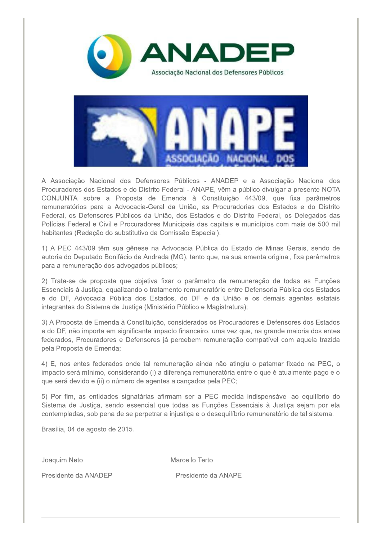

A Associação Nacional dos Defensores Públicos - ANADEP e a Associação Nacional dos Procuradores dos Estados e do Distrito Federal - ANAPE, vêm a público divulgar a presente NOTA CONJUNTA sobre a Proposta de Emenda à Constituição 443/09, que fixa parâmetros remuneratórios para a Advocacia-Geral da União, as Procuradorias dos Estados e do Distrito Federal, os Defensores Públicos da União, dos Estados e do Distrito Federal, os Delegados das Polícias Federal e Civil e Procuradores Municipais das capitais e municípios com mais de 500 mil habitantes (Redação do substitutivo da Comissão Especial).

SOCIACAO

1) A PEC 443/09 têm sua gênese na Advocacia Pública do Estado de Minas Gerais, sendo de autoria do Deputado Bonifácio de Andrada (MG), tanto que, na sua ementa original, fixa parâmetros para a remuneração dos advogados públicos;

2) Trata-se de proposta que objetiva fixar o parâmetro da remuneração de todas as Funções Essenciais à Justiça, equalizando o tratamento remuneratório entre Defensoria Pública dos Estados e do DF, Advocacia Pública dos Estados, do DF e da União e os demais agentes estatais integrantes do Sistema de Justiça (Ministério Público e Magistratura);

3) A Proposta de Emenda à Constituição, considerados os Procuradores e Defensores dos Estados e do DF, não importa em significante impacto financeiro, uma vez que, na grande maioria dos entes federados, Procuradores e Defensores já percebem remuneração compatível com aquela trazida pela Proposta de Emenda;

4) E, nos entes federados onde tal remuneração ainda não atingiu o patamar fixado na PEC, o impacto será mínimo, considerando (i) a diferença remuneratória entre o que é atualmente pago e o que será devido e (ii) o número de agentes alcançados pela PEC;

5) Por fim, as entidades signatárias afirmam ser a PEC medida indispensável ao equilíbrio do Sistema de Justiça, sendo essencial que todas as Funções Essenciais à Justiça sejam por ela contempladas, sob pena de se perpetrar a injustica e o deseguilíbrio remuneratório de tal sistema.

Brasília, 04 de agosto de 2015.

Joaquim Neto

Marcello Terto

Presidente da ANADEP

Presidente da ANAPE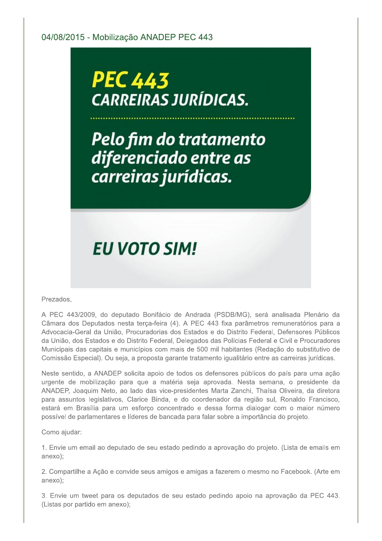# **PEC 443 CARREIRAS JURÍDICAS.**

Pelo fim do tratamento diferenciado entre as carreiras jurídicas.

## **EU VOTO SIM!**

#### Prezados,

A PEC 443/2009, do deputado Bonifácio de Andrada (PSDB/MG), será analisada Plenário da Câmara dos Deputados nesta terça-feira (4). A PEC 443 fixa parâmetros remuneratórios para a Advocacia-Geral da União, Procuradorias dos Estados e do Distrito Federal, Defensores Públicos da União, dos Estados e do Distrito Federal, Delegados das Polícias Federal e Civil e Procuradores Municipais das capitais e municípios com mais de 500 mil habitantes (Redação do substitutivo de Comissão Especial). Ou seja, a proposta garante tratamento igualitário entre as carreiras jurídicas.

Neste sentido, a ANADEP solicita apoio de todos os defensores públicos do país para uma ação urgente de mobilização para que a matéria seja aprovada. Nesta semana, o presidente da ANADEP, Joaquim Neto, ao lado das vice-presidentes Marta Zanchi, Thaísa Oliveira, da diretora para assuntos legislativos, Clarice Binda, e do coordenador da região sul, Ronaldo Francisco, estará em Brasília para um esforço concentrado e dessa forma dialogar com o maior número possível de parlamentares e líderes de bancada para falar sobre a importância do projeto.

Como ajudar:

1. Envie um email ao deputado de seu estado pedindo a aprovação do projeto. (Lista de emails em anexo):

2. Compartilhe a Ação e convide seus amigos e amigas a fazerem o mesmo no Facebook. (Arte em anexo);

3. Envie um tweet para os deputados de seu estado pedindo apoio na aprovação da PEC 443. (Listas por partido em anexo);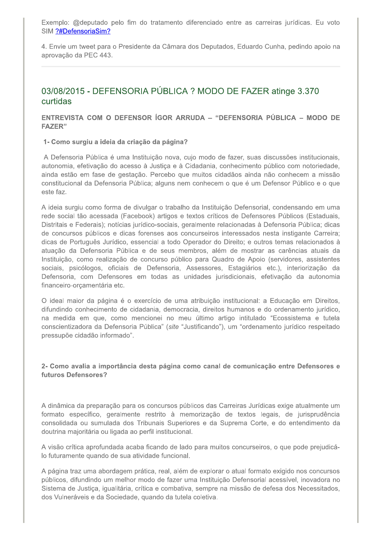Exemplo: @deputado pelo fim do tratamento diferenciado entre as carreiras jurídicas. Eu voto SIM ?#DefensoriaSim?

4. Envie um tweet para o Presidente da Câmara dos Deputados, Eduardo Cunha, pedindo apoio na aprovação da PEC 443.

#### 03/08/2015 - DEFENSORIA PÚBLICA ? MODO DE FAZER atinge 3.370 curtidas

#### ENTREVISTA COM O DEFENSOR ÍGOR ARRUDA – "DEFENSORIA PÚBLICA – MODO DE **FAZER**"

#### 1- Como surgiu a ideia da criação da página?

A Defensoria Pública é uma Instituição nova, cujo modo de fazer, suas discussões institucionais, autonomia, efetivação do acesso à Justica e à Cidadania, conhecimento público com notoriedade, ainda estão em fase de gestação. Percebo que muitos cidadãos ainda não conhecem a missão constitucional da Defensoria Pública; alguns nem conhecem o que é um Defensor Público e o que este faz.

A ideia surgiu como forma de divulgar o trabalho da Instituição Defensorial, condensando em uma rede social tão acessada (Facebook) artigos e textos críticos de Defensores Públicos (Estaduais, Distritais e Federais); notícias jurídico-sociais, geralmente relacionadas à Defensoria Pública; dicas de concursos públicos e dicas forenses aos concurseiros interessados nesta instigante Carreira; dicas de Português Jurídico, essencial a todo Operador do Direito; e outros temas relacionados à atuação da Defensoria Pública e de seus membros, além de mostrar as carências atuais da Instituição, como realização de concurso público para Quadro de Apoio (servidores, assistentes sociais, psicólogos, oficiais de Defensoria, Assessores, Estagiários etc.), interiorização da Defensoria, com Defensores em todas as unidades jurisdicionais, efetivação da autonomia financeiro-orcamentária etc.

O ideal maior da página é o exercício de uma atribuição institucional: a Educação em Direitos, difundindo conhecimento de cidadania, democracia, direitos humanos e do ordenamento jurídico, na medida em que, como mencionei no meu último artigo intitulado "Ecossistema e tutela conscientizadora da Defensoria Pública" (site "Justificando"), um "ordenamento jurídico respeitado pressupõe cidadão informado".

#### 2- Como avalia a importância desta página como canal de comunicação entre Defensores e futuros Defensores?

A dinâmica da preparação para os concursos públicos das Carreiras Jurídicas exige atualmente um formato específico, geralmente restrito à memorização de textos legais, de jurisprudência consolidada ou sumulada dos Tribunais Superiores e da Suprema Corte, e do entendimento da doutrina majoritária ou ligada ao perfil institucional.

A visão crítica aprofundada acaba ficando de lado para muitos concurseiros, o que pode prejudicálo futuramente quando de sua atividade funcional.

A página traz uma abordagem prática, real, além de explorar o atual formato exigido nos concursos públicos, difundindo um melhor modo de fazer uma Instituição Defensorial acessível, inovadora no Sistema de Justiça, igualitária, crítica e combativa, sempre na missão de defesa dos Necessitados, dos Vulneráveis e da Sociedade, quando da tutela coletiva.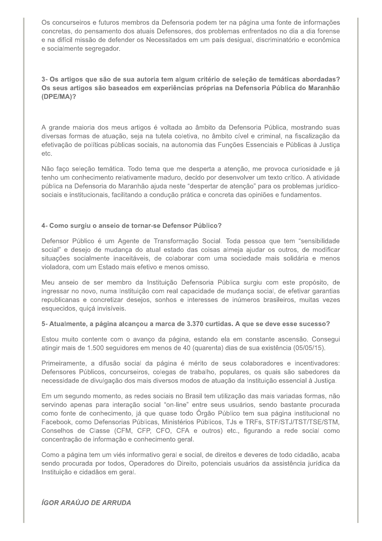Os concurseiros e futuros membros da Defensoria podem ter na página uma fonte de informações concretas, do pensamento dos atuais Defensores, dos problemas enfrentados no dia a dia forense e na difícil missão de defender os Necessitados em um país desigual, discriminatório e econômica e socialmente segregador.

3- Os artigos que são de sua autoria tem algum critério de seleção de temáticas abordadas? Os seus artigos são baseados em experiências próprias na Defensoria Pública do Maranhão  $(DPE/MA)?$ 

A grande maioria dos meus artigos é voltada ao âmbito da Defensoria Pública, mostrando suas diversas formas de atuação, seja na tutela coletiva, no âmbito cível e criminal, na fiscalização da efetivação de políticas públicas sociais, na autonomia das Funções Essenciais e Públicas à Justiça etc.

Não faço seleção temática. Todo tema que me desperta a atenção, me provoca curiosidade e já tenho um conhecimento relativamente maduro, decido por desenvolver um texto crítico. A atividade pública na Defensoria do Maranhão ajuda neste "despertar de atenção" para os problemas jurídicosociais e institucionais, facilitando a condução prática e concreta das opiniões e fundamentos.

#### 4- Como surgiu o anseio de tornar-se Defensor Público?

Defensor Público é um Agente de Transformação Social. Toda pessoa que tem "sensibilidade social" e desejo de mudança do atual estado das coisas almeja ajudar os outros, de modificar situações socialmente inaceitáveis, de colaborar com uma sociedade mais solidária e menos violadora, com um Estado mais efetivo e menos omisso.

Meu anseio de ser membro da Instituição Defensoria Pública surgiu com este propósito, de ingressar no novo, numa Instituição com real capacidade de mudança social, de efetivar garantias republicanas e concretizar desejos, sonhos e interesses de inúmeros brasileiros, muitas vezes esquecidos, quiçá invisíveis.

#### 5- Atualmente, a página alcançou a marca de 3.370 curtidas. A que se deve esse sucesso?

Estou muito contente com o avanço da página, estando ela em constante ascensão. Consegui atingir mais de 1.500 seguidores em menos de 40 (quarenta) dias de sua existência (05/05/15).

Primeiramente, a difusão social da página é mérito de seus colaboradores e incentivadores: Defensores Públicos, concurseiros, colegas de trabalho, populares, os quais são sabedores da necessidade de divulgação dos mais diversos modos de atuação da Instituição essencial à Justiça.

Em um segundo momento, as redes sociais no Brasil tem utilização das mais variadas formas, não servindo apenas para interação social "on-line" entre seus usuários, sendo bastante procurada como fonte de conhecimento, já que quase todo Órgão Público tem sua página institucional no Facebook, como Defensorias Públicas, Ministérios Públicos, TJs e TRFs, STF/STJ/TST/TSE/STM, Conselhos de Classe (CFM, CFP, CFO, CFA e outros) etc., figurando a rede social como concentração de informação e conhecimento geral.

Como a página tem um viés informativo geral e social, de direitos e deveres de todo cidadão, acaba sendo procurada por todos, Operadores do Direito, potenciais usuários da assistência jurídica da Instituição e cidadãos em geral.

**ÍGOR ARAÚJO DE ARRUDA**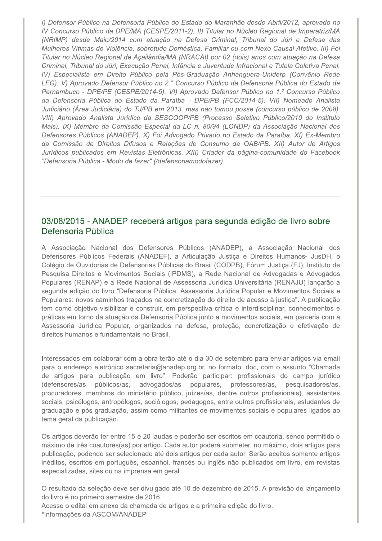I) Defensor Público na Defensoria Pública do Estado do Maranhão desde Abril/2012, aprovado no IV Concurso Público da DPE/MA (CESPE/2011-2). II) Titular no Núcleo Regional de Imperatriz/MA (NRIMP) desde Maio/2014 com atuação na Defesa Criminal, Tribunal do Júri e Defesa das Mulheres Vítimas de Violência, sobretudo Doméstica, Familiar ou com Nexo Causal Afetivo. III) Foi Titular no Núcleo Regional de Açailândia/MA (NRACAI) por 02 (dois) anos com atuação na Defesa Criminal, Tribunal do Júri, Execução Penal, Infância e Juventude Infracional e Tutela Coletiva Penal. IV) Especialista em Direito Público pela Pós-Graduação Anhanguera-Uniderp (Convênio Rede LFG). V) Aprovado Defensor Público no 2.º Concurso Público da Defensoria Pública do Estado de Pernambuco - DPE/PE (CESPE/2014-5). VI) Aprovado Defensor Público no 1.º Concurso Público da Defensoria Pública do Estado da Paraíba - DPE/PB (FCC/2014-5). VII) Nomeado Analista Judiciário (Área Judiciária) do TJ/PB em 2013, mas não tomou posse (concurso público de 2008). VIII) Aprovado Analista Jurídico da SESCOOP/PB (Processo Seletivo Público/2010 do Instituto Mais). IX) Membro da Comissão Especial da LC n. 80/94 (LONDP) da Associação Nacional dos Defensores Públicos (ANADEP). X) Foi Advogado Privado no Estado da Paraíba. XI) Ex-Membro da Comissão de Direitos Difusos e Relações de Consumo da OAB/PB. XII) Autor de Artigos Jurídicos publicados em Revistas Eletrônicas. XIII) Criador da página-comunidade do Facebook "Defensoria Pública - Modo de fazer" (/defensoriamodofazer).

#### 03/08/2015 - ANADEP receberá artigos para segunda edição de livro sobre Defensoria Pública

A Associação Nacional dos Defensores Públicos (ANADEP), a Associação Nacional dos Defensores Públicos Federais (ANADEF), a Articulação Justiça e Direitos Humanos- JusDH, o Colégio de Ouvidorias de Defensorias Públicas do Brasil (CODPB), Fórum Justiça (FJ), Instituto de Pesquisa Direitos e Movimentos Sociais (IPDMS), a Rede Nacional de Advogadas e Advogados Populares (RENAP) e a Rede Nacional de Assessoria Jurídica Universitária (RENAJU) lançarão a segunda edição do livro "Defensoria Pública, Assessoria Jurídica Popular e Movimentos Sociais e Populares: novos caminhos traçados na concretização do direito de acesso à justiça". A publicação tem como objetivo visibilizar e construir, em perspectiva crítica e interdisciplinar, conhecimentos e práticas em torno da atuação da Defensoria Pública junto a movimentos sociais, em parceria com a Assessoria Jurídica Popular, organizados na defesa, proteção, concretização e efetivação de direitos humanos e fundamentais no Brasil.

Interessados em colaborar com a obra terão até o dia 30 de setembro para enviar artigos via email para o endereço eletrônico secretaria@anadep.org.br, no formato .doc, com o assunto "Chamada de artigos para publicação em livro". Poderão participar: profissionais do campo jurídico (defensores/as públicos/as, advogados/as populares, professores/as, pesquisadores/as, procuradores, membros do ministério público, juízes/as, dentre outros profissionais), assistentes sociais, psicólogos, antropólogos, sociólogos, pedagogos, entre outros profissionais, estudantes de graduação e pós-graduação, assim como militantes de movimentos sociais e populares ligados ao tema geral da publicação.

Os artigos deverão ter entre 15 e 20 laudas e poderão ser escritos em coautoria, sendo permitido o máximo de três coautores(as) por artigo. Cada autor poderá submeter, no máximo, dois artigos para publicação, podendo ser selecionado até dois artigos por cada autor. Serão aceitos somente artigos inéditos, escritos em português, espanhol, francês ou inglês não publicados em livro, em revistas especializadas, sites ou na imprensa em geral.

O resultado da seleção deve ser divulgado até 10 de dezembro de 2015. A previsão de lançamento do livro é no primeiro semestre de 2016.

Acesse o edital em anexo da chamada de artigos e a primeira edição do livro. \*Informações da ASCOM/ANADEP